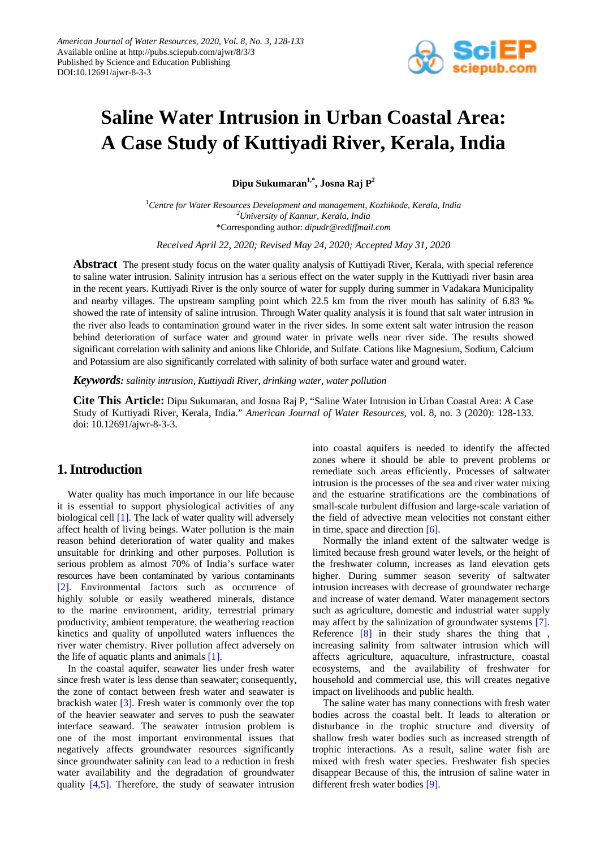

# **Saline Water Intrusion in Urban Coastal Area: A Case Study of Kuttiyadi River, Kerala, India**

**Dipu Sukumaran1,\*, Josna Raj P2**

1 *Centre for Water Resources Development and management, Kozhikode, Kerala, India 2 University of Kannur, Kerala, India* \*Corresponding author: *dipudr@rediffmail.com*

*Received April 22, 2020; Revised May 24, 2020; Accepted May 31, 2020*

**Abstract** The present study focus on the water quality analysis of Kuttiyadi River, Kerala, with special reference to saline water intrusion. Salinity intrusion has a serious effect on the water supply in the Kuttiyadi river basin area in the recent years. Kuttiyadi River is the only source of water for supply during summer in Vadakara Municipality and nearby villages. The upstream sampling point which 22.5 km from the river mouth has salinity of 6.83 ‰ showed the rate of intensity of saline intrusion. Through Water quality analysis it is found that salt water intrusion in the river also leads to contamination ground water in the river sides. In some extent salt water intrusion the reason behind deterioration of surface water and ground water in private wells near river side. The results showed significant correlation with salinity and anions like Chloride, and Sulfate. Cations like Magnesium, Sodium, Calcium and Potassium are also significantly correlated with salinity of both surface water and ground water.

*Keywords: salinity intrusion, Kuttiyadi River, drinking water, water pollution*

**Cite This Article:** Dipu Sukumaran, and Josna Raj P, "Saline Water Intrusion in Urban Coastal Area: A Case Study of Kuttiyadi River, Kerala, India." *American Journal of Water Resources*, vol. 8, no. 3 (2020): 128-133. doi: 10.12691/ajwr-8-3-3.

## **1. Introduction**

Water quality has much importance in our life because it is essential to support physiological activities of any biological cell [\[1\].](#page-4-0) The lack of water quality will adversely affect health of living beings. Water pollution is the main reason behind deterioration of water quality and makes unsuitable for drinking and other purposes. Pollution is serious problem as almost 70% of India's surface water resources have been contaminated by various contaminants [\[2\].](#page-5-0) Environmental factors such as occurrence of highly soluble or easily weathered minerals, distance to the marine environment, aridity, terrestrial primary productivity, ambient temperature, the weathering reaction kinetics and quality of unpolluted waters influences the river water chemistry. River pollution affect adversely on the life of aquatic plants and animals [\[1\].](#page-4-0)

In the coastal aquifer, seawater lies under fresh water since fresh water is less dense than seawater; consequently, the zone of contact between fresh water and seawater is brackish water [\[3\].](#page-5-1) Fresh water is commonly over the top of the heavier seawater and serves to push the seawater interface seaward. The seawater intrusion problem is one of the most important environmental issues that negatively affects groundwater resources significantly since groundwater salinity can lead to a reduction in fresh water availability and the degradation of groundwater quality [\[4,5\].](#page-5-2) Therefore, the study of seawater intrusion

into coastal aquifers is needed to identify the affected zones where it should be able to prevent problems or remediate such areas efficiently. Processes of saltwater intrusion is the processes of the sea and river water mixing and the estuarine stratifications are the combinations of small-scale turbulent diffusion and large-scale variation of the field of advective mean velocities not constant either in time, space and direction [\[6\].](#page-5-3)

Normally the inland extent of the saltwater wedge is limited because fresh ground water levels, or the height of the freshwater column, increases as land elevation gets higher. During summer season severity of saltwater intrusion increases with decrease of groundwater recharge and increase of water demand. Water management sectors such as agriculture, domestic and industrial water supply may affect by the salinization of groundwater systems [\[7\].](#page-5-4) Reference [\[8\]](#page-5-5) in their study shares the thing that , increasing salinity from saltwater intrusion which will affects agriculture, aquaculture, infrastructure, coastal ecosystems, and the availability of freshwater for household and commercial use, this will creates negative impact on livelihoods and public health.

The saline water has many connections with fresh water bodies across the coastal belt. It leads to alteration or disturbance in the trophic structure and diversity of shallow fresh water bodies such as increased strength of trophic interactions. As a result, saline water fish are mixed with fresh water species. Freshwater fish species disappear Because of this, the intrusion of saline water in different fresh water bodies [\[9\].](#page-5-6)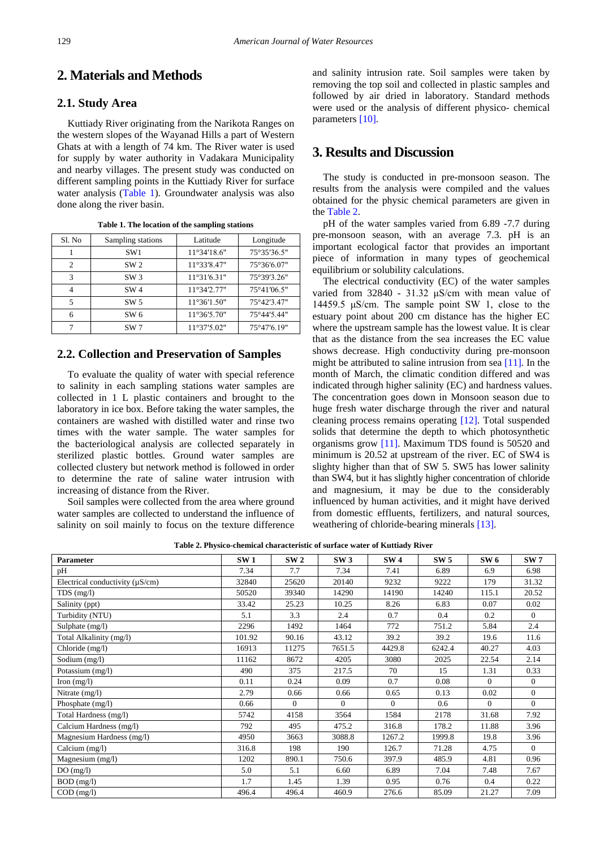## **2. Materials and Methods**

### **2.1. Study Area**

Kuttiady River originating from the Narikota Ranges on the western slopes of the Wayanad Hills a part of Western Ghats at with a length of 74 km. The River water is used for supply by water authority in Vadakara Municipality and nearby villages. The present study was conducted on different sampling points in the Kuttiady River for surface water analysis [\(Table 1\)](#page-1-0). Groundwater analysis was also done along the river basin.

<span id="page-1-0"></span>

| Sl. No         | Sampling stations | Latitude             | Longitude   |
|----------------|-------------------|----------------------|-------------|
|                | SW <sub>1</sub>   | $11^{\circ}34'18.6"$ | 75°35′36.5" |
| $\mathfrak{D}$ | SW <sub>2</sub>   | $11^{\circ}33'8.47"$ | 75°36'6.07" |
| 3              | SW3               | $11^{\circ}31'6.31"$ | 75°39'3.26" |
|                | SW <sub>4</sub>   | 11°34'2.77"          | 75°41′06.5" |
| 5              | SW <sub>5</sub>   | $11^{\circ}36'1.50"$ | 75°42'3.47" |
|                | SW 6              | $11^{\circ}36'5.70"$ | 75°44'5.44" |
|                | SW <sub>7</sub>   | $11^{\circ}37'5.02"$ | 75°47'6.19" |

**Table 1. The location of the sampling stations**

#### **2.2. Collection and Preservation of Samples**

To evaluate the quality of water with special reference to salinity in each sampling stations water samples are collected in 1 L plastic containers and brought to the laboratory in ice box. Before taking the water samples, the containers are washed with distilled water and rinse two times with the water sample. The water samples for the bacteriological analysis are collected separately in sterilized plastic bottles. Ground water samples are collected clustery but network method is followed in order to determine the rate of saline water intrusion with increasing of distance from the River.

Soil samples were collected from the area where ground water samples are collected to understand the influence of salinity on soil mainly to focus on the texture difference and salinity intrusion rate. Soil samples were taken by removing the top soil and collected in plastic samples and followed by air dried in laboratory. Standard methods were used or the analysis of different physico- chemical parameter[s \[10\].](#page-5-7)

## **3. Results and Discussion**

The study is conducted in pre-monsoon season. The results from the analysis were compiled and the values obtained for the physic chemical parameters are given in the [Table 2.](#page-1-1)

pH of the water samples varied from 6.89 -7.7 during pre-monsoon season, with an average 7.3. pH is an important ecological factor that provides an important piece of information in many types of geochemical equilibrium or solubility calculations.

The electrical conductivity (EC) of the water samples varied from 32840 - 31.32 μS/cm with mean value of 14459.5 μS/cm. The sample point SW 1, close to the estuary point about 200 cm distance has the higher EC where the upstream sample has the lowest value. It is clear that as the distance from the sea increases the EC value shows decrease. High conductivity during pre-monsoon might be attributed to saline intrusion from sea [\[11\].](#page-5-8) In the month of March, the climatic condition differed and was indicated through higher salinity (EC) and hardness values. The concentration goes down in Monsoon season due to huge fresh water discharge through the river and natural cleaning process remains operating [\[12\].](#page-5-9) Total suspended solids that determine the depth to which photosynthetic organisms grow [\[11\].](#page-5-8) Maximum TDS found is 50520 and minimum is 20.52 at upstream of the river. EC of SW4 is slighty higher than that of SW 5. SW5 has lower salinity than SW4, but it has slightly higher concentration of chloride and magnesium, it may be due to the considerably influenced by human activities, and it might have derived from domestic effluents, fertilizers, and natural sources, weathering of chloride-bearing minerals [\[13\].](#page-5-10)

**Table 2. Physico-chemical characteristic of surface water of Kuttiady River**

<span id="page-1-1"></span>

| Parameter                            | SW1    | SW <sub>2</sub> | SW3      | SW <sub>4</sub> | SW <sub>5</sub> | SW 6     | SW <sub>7</sub> |
|--------------------------------------|--------|-----------------|----------|-----------------|-----------------|----------|-----------------|
| pH                                   | 7.34   | 7.7             | 7.34     | 7.41            | 6.89            | 6.9      | 6.98            |
| Electrical conductivity $(\mu S/cm)$ | 32840  | 25620           | 20140    | 9232            | 9222            | 179      | 31.32           |
| $TDS$ (mg/l)                         | 50520  | 39340           | 14290    | 14190           | 14240           | 115.1    | 20.52           |
| Salinity (ppt)                       | 33.42  | 25.23           | 10.25    | 8.26            | 6.83            | 0.07     | 0.02            |
| Turbidity (NTU)                      | 5.1    | 3.3             | 2.4      | 0.7             | 0.4             | 0.2      | $\Omega$        |
| Sulphate (mg/l)                      | 2296   | 1492            | 1464     | 772             | 751.2           | 5.84     | 2.4             |
| Total Alkalinity (mg/l)              | 101.92 | 90.16           | 43.12    | 39.2            | 39.2            | 19.6     | 11.6            |
| Chloride (mg/l)                      | 16913  | 11275           | 7651.5   | 4429.8          | 6242.4          | 40.27    | 4.03            |
| Sodium (mg/l)                        | 11162  | 8672            | 4205     | 3080            | 2025            | 22.54    | 2.14            |
| Potassium (mg/l)                     | 490    | 375             | 217.5    | 70              | 15              | 1.31     | 0.33            |
| Iron $(mg/l)$                        | 0.11   | 0.24            | 0.09     | 0.7             | 0.08            | $\Omega$ | $\mathbf{0}$    |
| Nitrate $(mg/l)$                     | 2.79   | 0.66            | 0.66     | 0.65            | 0.13            | 0.02     | $\mathbf{0}$    |
| Phosphate (mg/l)                     | 0.66   | $\Omega$        | $\Omega$ | $\Omega$        | 0.6             | $\Omega$ | $\Omega$        |
| Total Hardness (mg/l)                | 5742   | 4158            | 3564     | 1584            | 2178            | 31.68    | 7.92            |
| Calcium Hardness (mg/l)              | 792    | 495             | 475.2    | 316.8           | 178.2           | 11.88    | 3.96            |
| Magnesium Hardness (mg/l)            | 4950   | 3663            | 3088.8   | 1267.2          | 1999.8          | 19.8     | 3.96            |
| Calcium (mg/l)                       | 316.8  | 198             | 190      | 126.7           | 71.28           | 4.75     | $\Omega$        |
| Magnesium (mg/l)                     | 1202   | 890.1           | 750.6    | 397.9           | 485.9           | 4.81     | 0.96            |
| DO(mg/l)                             | 5.0    | 5.1             | 6.60     | 6.89            | 7.04            | 7.48     | 7.67            |
| BOD (mg/l)                           | 1.7    | 1.45            | 1.39     | 0.95            | 0.76            | 0.4      | 0.22            |
| $COD$ (mg/l)                         | 496.4  | 496.4           | 460.9    | 276.6           | 85.09           | 21.27    | 7.09            |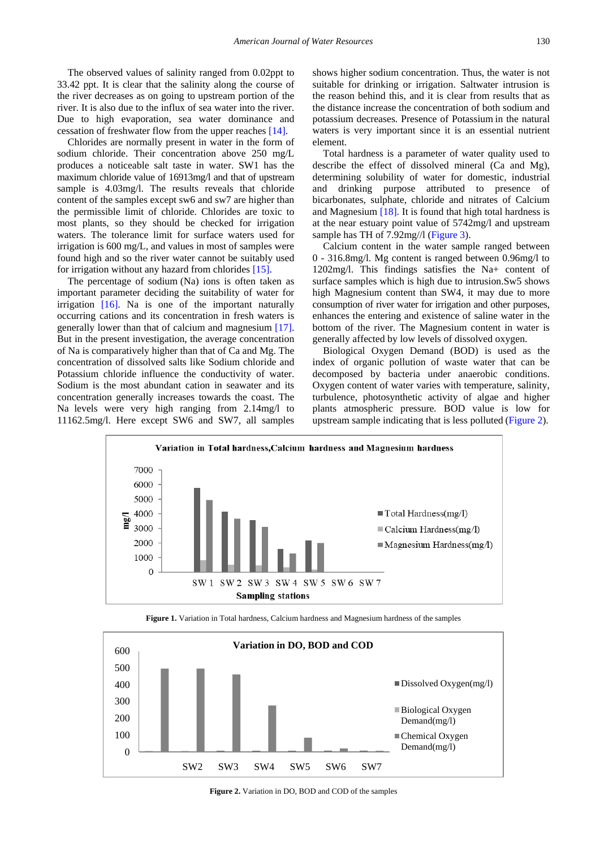The observed values of salinity ranged from 0.02ppt to 33.42 ppt. It is clear that the salinity along the course of the river decreases as on going to upstream portion of the river. It is also due to the influx of sea water into the river. Due to high evaporation, sea water dominance and cessation of freshwater flow from the upper reache[s \[14\].](#page-5-11)

Chlorides are normally present in water in the form of sodium chloride. Their concentration above 250 mg/L produces a noticeable salt taste in water. SW1 has the maximum chloride value of 16913mg/l and that of upstream sample is 4.03mg/l. The results reveals that chloride content of the samples except sw6 and sw7 are higher than the permissible limit of chloride. Chlorides are toxic to most plants, so they should be checked for irrigation waters. The tolerance limit for surface waters used for irrigation is 600 mg/L, and values in most of samples were found high and so the river water cannot be suitably used for irrigation without any hazard from chlorides [\[15\].](#page-5-12)

The percentage of sodium (Na) ions is often taken as important parameter deciding the suitability of water for irrigation [\[16\].](#page-5-13) Na is one of the important naturally occurring cations and its concentration in fresh waters is generally lower than that of calcium and magnesium [\[17\].](#page-5-14) But in the present investigation, the average concentration of Na is comparatively higher than that of Ca and Mg. The concentration of dissolved salts like Sodium chloride and Potassium chloride influence the conductivity of water. Sodium is the most abundant cation in seawater and its concentration generally increases towards the coast. The Na levels were very high ranging from 2.14mg/l to 11162.5mg/l. Here except SW6 and SW7, all samples

shows higher sodium concentration. Thus, the water is not suitable for drinking or irrigation. Saltwater intrusion is the reason behind this, and it is clear from results that as the distance increase the concentration of both sodium and potassium decreases. Presence of Potassium in the natural waters is very important since it is an essential nutrient element.

Total hardness is a parameter of water quality used to describe the effect of dissolved mineral (Ca and Mg), determining solubility of water for domestic, industrial and drinking purpose attributed to presence of bicarbonates, sulphate, chloride and nitrates of Calcium and Magnesium [\[18\].](#page-5-15) It is found that high total hardness is at the near estuary point value of 5742mg/l and upstream sample has TH of 7.92mg//l [\(Figure 3\)](#page-3-0).

Calcium content in the water sample ranged between 0 - 316.8mg/l. Mg content is ranged between 0.96mg/l to 1202mg/l. This findings satisfies the Na+ content of surface samples which is high due to intrusion.Sw5 shows high Magnesium content than SW4, it may due to more consumption of river water for irrigation and other purposes, enhances the entering and existence of saline water in the bottom of the river. The Magnesium content in water is generally affected by low levels of dissolved oxygen.

Biological Oxygen Demand (BOD) is used as the index of organic pollution of waste water that can be decomposed by bacteria under anaerobic conditions. Oxygen content of water varies with temperature, salinity, turbulence, photosynthetic activity of algae and higher plants atmospheric pressure*.* BOD value is low for upstream sample indicating that is less polluted [\(Figure 2\)](#page-2-0).





<span id="page-2-0"></span>

**Figure 2.** Variation in DO, BOD and COD of the samples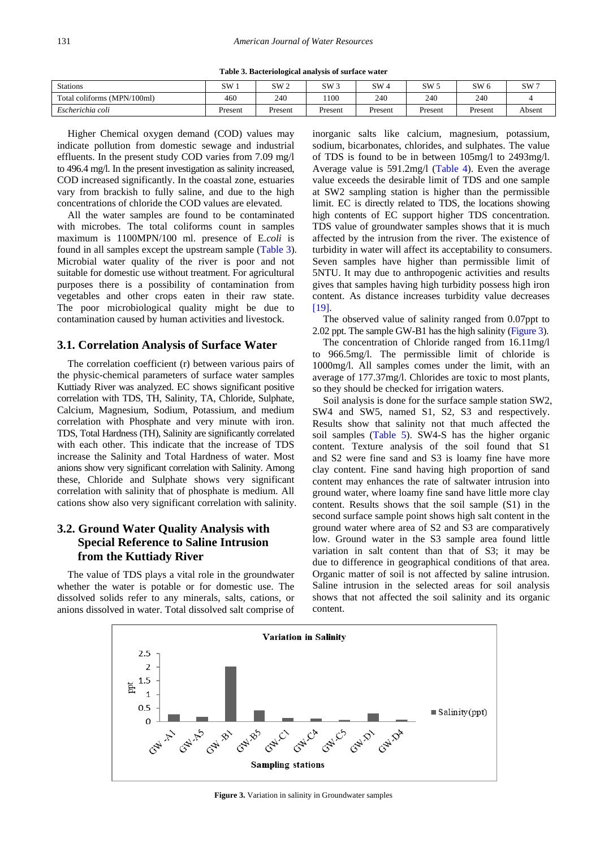<span id="page-3-1"></span>

| <b>Stations</b>             | SW      | SW 2    | SW <sub>3</sub> | SW <sub>4</sub> | SW.     | SW 6    | SW7    |
|-----------------------------|---------|---------|-----------------|-----------------|---------|---------|--------|
| Total coliforms (MPN/100ml) | 460     | 240     | 100             | 240             | 240     | 240     |        |
| Escherichia coli            | Present | Present | Present         | Present         | Present | Present | Absent |

Higher Chemical oxygen demand (COD) values may indicate pollution from domestic sewage and industrial effluents. In the present study COD varies from 7.09 mg/l to 496.4 mg/l. In the present investigation as salinity increased, COD increased significantly. In the coastal zone, estuaries vary from brackish to fully saline, and due to the high concentrations of chloride the COD values are elevated.

All the water samples are found to be contaminated with microbes. The total coliforms count in samples maximum is 1100MPN/100 ml. presence of E.*coli* is found in all samples except the upstream sample [\(Table 3\)](#page-3-1). Microbial water quality of the river is poor and not suitable for domestic use without treatment. For agricultural purposes there is a possibility of contamination from vegetables and other crops eaten in their raw state. The poor microbiological quality might be due to contamination caused by human activities and livestock.

#### **3.1. Correlation Analysis of Surface Water**

The correlation coefficient (r) between various pairs of the physic-chemical parameters of surface water samples Kuttiady River was analyzed. EC shows significant positive correlation with TDS, TH, Salinity, TA, Chloride, Sulphate, Calcium, Magnesium, Sodium, Potassium, and medium correlation with Phosphate and very minute with iron. TDS, Total Hardness (TH), Salinity are significantly correlated with each other. This indicate that the increase of TDS increase the Salinity and Total Hardness of water. Most anions show very significant correlation with Salinity. Among these, Chloride and Sulphate shows very significant correlation with salinity that of phosphate is medium. All cations show also very significant correlation with salinity.

## **3.2. Ground Water Quality Analysis with Special Reference to Saline Intrusion from the Kuttiady River**

<span id="page-3-0"></span>The value of TDS plays a vital role in the groundwater whether the water is potable or for domestic use. The dissolved solids refer to any minerals, salts, cations, or anions dissolved in water. Total dissolved salt comprise of inorganic salts like calcium, magnesium, potassium, sodium, bicarbonates, chlorides, and sulphates. The value of TDS is found to be in between 105mg/l to 2493mg/l. Average value is 591.2mg/l [\(Table 4\)](#page-4-1). Even the average value exceeds the desirable limit of TDS and one sample at SW2 sampling station is higher than the permissible limit. EC is directly related to TDS, the locations showing high contents of EC support higher TDS concentration. TDS value of groundwater samples shows that it is much affected by the intrusion from the river. The existence of turbidity in water will affect its acceptability to consumers. Seven samples have higher than permissible limit of 5NTU. It may due to anthropogenic activities and results gives that samples having high turbidity possess high iron content. As distance increases turbidity value decreases [\[19\].](#page-5-16)

The observed value of salinity ranged from 0.07ppt to 2.02 ppt. The sample GW-B1 has the high salinity [\(Figure 3\)](#page-3-0).

The concentration of Chloride ranged from 16.11mg/l to 966.5mg/l. The permissible limit of chloride is 1000mg/l. All samples comes under the limit, with an average of 177.37mg/l. Chlorides are toxic to most plants, so they should be checked for irrigation waters.

Soil analysis is done for the surface sample station SW2, SW4 and SW5, named S1, S2, S3 and respectively. Results show that salinity not that much affected the soil samples [\(Table 5\)](#page-4-2). SW4-S has the higher organic content. Texture analysis of the soil found that S1 and S2 were fine sand and S3 is loamy fine have more clay content. Fine sand having high proportion of sand content may enhances the rate of saltwater intrusion into ground water, where loamy fine sand have little more clay content. Results shows that the soil sample (S1) in the second surface sample point shows high salt content in the ground water where area of S2 and S3 are comparatively low. Ground water in the S3 sample area found little variation in salt content than that of S3; it may be due to difference in geographical conditions of that area. Organic matter of soil is not affected by saline intrusion. Saline intrusion in the selected areas for soil analysis shows that not affected the soil salinity and its organic content.



**Figure 3.** Variation in salinity in Groundwater samples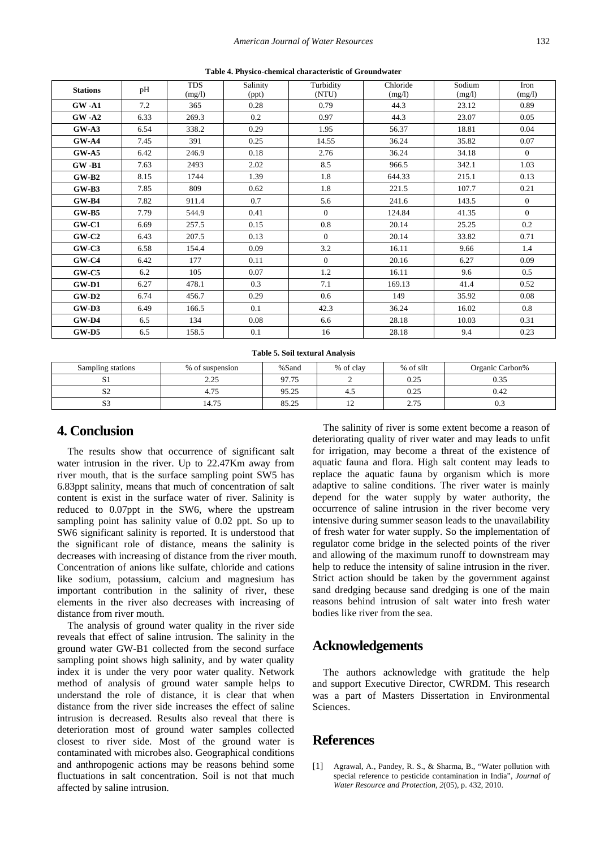<span id="page-4-1"></span>

| <b>Stations</b> | pH   | <b>TDS</b><br>(mg/l) | Salinity<br>(ppt) | Turbidity<br>(NTU) | Chloride<br>(mg/l) | Sodium<br>(mg/l) | Iron<br>(mg/l) |
|-----------------|------|----------------------|-------------------|--------------------|--------------------|------------------|----------------|
| $GW-A1$         | 7.2  | 365                  | 0.28              | 0.79               | 44.3               | 23.12            | 0.89           |
| $GW-A2$         | 6.33 | 269.3                | 0.2               | 0.97               | 44.3               | 23.07            | 0.05           |
| $GW-A3$         | 6.54 | 338.2                | 0.29              | 1.95               | 56.37              | 18.81            | 0.04           |
| $GW-A4$         | 7.45 | 391                  | 0.25              | 14.55              | 36.24              | 35.82            | 0.07           |
| $GW-A5$         | 6.42 | 246.9                | 0.18              | 2.76               | 36.24              | 34.18            | $\theta$       |
| $GW-B1$         | 7.63 | 2493                 | 2.02              | 8.5                | 966.5              | 342.1            | 1.03           |
| $GW-B2$         | 8.15 | 1744                 | 1.39              | 1.8                | 644.33             | 215.1            | 0.13           |
| $GW-B3$         | 7.85 | 809                  | 0.62              | 1.8                | 221.5              | 107.7            | 0.21           |
| $GW-B4$         | 7.82 | 911.4                | 0.7               | 5.6                | 241.6              | 143.5            | $\mathbf{0}$   |
| $GW-B5$         | 7.79 | 544.9                | 0.41              | $\theta$           | 124.84             | 41.35            | $\Omega$       |
| $GW-C1$         | 6.69 | 257.5                | 0.15              | 0.8                | 20.14              | 25.25            | 0.2            |
| $GW-C2$         | 6.43 | 207.5                | 0.13              | $\theta$           | 20.14              | 33.82            | 0.71           |
| $GW-C3$         | 6.58 | 154.4                | 0.09              | 3.2                | 16.11              | 9.66             | 1.4            |
| $GW-C4$         | 6.42 | 177                  | 0.11              | $\theta$           | 20.16              | 6.27             | 0.09           |
| $GW-C5$         | 6.2  | 105                  | 0.07              | 1.2                | 16.11              | 9.6              | 0.5            |
| $GW-D1$         | 6.27 | 478.1                | 0.3               | 7.1                | 169.13             | 41.4             | 0.52           |
| $GW-D2$         | 6.74 | 456.7                | 0.29              | 0.6                | 149                | 35.92            | 0.08           |
| $GW-D3$         | 6.49 | 166.5                | 0.1               | 42.3               | 36.24              | 16.02            | 0.8            |
| $GW-D4$         | 6.5  | 134                  | 0.08              | 6.6                | 28.18              | 10.03            | 0.31           |
| $GW-D5$         | 6.5  | 158.5                | 0.1               | 16                 | 28.18              | 9.4              | 0.23           |

**Table 4. Physico-chemical characteristic of Groundwater**

**Table 5. Soil textural Analysis**

<span id="page-4-2"></span>

| Sampling stations | % of suspension     | %Sand | % of clay                | % of silt       | Organic Carbon% |
|-------------------|---------------------|-------|--------------------------|-----------------|-----------------|
| ມ⊥                | າ າະ<br><u>_.__</u> | 97.75 |                          | ሰ ሳሩ<br>∪.∠J    | 0.35            |
| $\sim$<br>← ک     | 75                  | 95.25 | 4.5                      | 0.25            | 0.42            |
| $\sim$<br>ມ       | 14.75               | 85.25 | $\overline{\phantom{0}}$ | ን 75<br>د ، ، ، | 0.3             |

## **4. Conclusion**

The results show that occurrence of significant salt water intrusion in the river. Up to 22.47Km away from river mouth, that is the surface sampling point SW5 has 6.83ppt salinity, means that much of concentration of salt content is exist in the surface water of river. Salinity is reduced to 0.07ppt in the SW6, where the upstream sampling point has salinity value of 0.02 ppt. So up to SW6 significant salinity is reported. It is understood that the significant role of distance, means the salinity is decreases with increasing of distance from the river mouth. Concentration of anions like sulfate, chloride and cations like sodium, potassium, calcium and magnesium has important contribution in the salinity of river, these elements in the river also decreases with increasing of distance from river mouth.

The analysis of ground water quality in the river side reveals that effect of saline intrusion. The salinity in the ground water GW-B1 collected from the second surface sampling point shows high salinity, and by water quality index it is under the very poor water quality. Network method of analysis of ground water sample helps to understand the role of distance, it is clear that when distance from the river side increases the effect of saline intrusion is decreased. Results also reveal that there is deterioration most of ground water samples collected closest to river side. Most of the ground water is contaminated with microbes also. Geographical conditions and anthropogenic actions may be reasons behind some fluctuations in salt concentration. Soil is not that much affected by saline intrusion.

The salinity of river is some extent become a reason of deteriorating quality of river water and may leads to unfit for irrigation, may become a threat of the existence of aquatic fauna and flora. High salt content may leads to replace the aquatic fauna by organism which is more adaptive to saline conditions. The river water is mainly depend for the water supply by water authority, the occurrence of saline intrusion in the river become very intensive during summer season leads to the unavailability of fresh water for water supply. So the implementation of regulator come bridge in the selected points of the river and allowing of the maximum runoff to downstream may help to reduce the intensity of saline intrusion in the river. Strict action should be taken by the government against sand dredging because sand dredging is one of the main reasons behind intrusion of salt water into fresh water bodies like river from the sea.

## **Acknowledgements**

The authors acknowledge with gratitude the help and support Executive Director, CWRDM. This research was a part of Masters Dissertation in Environmental Sciences.

## **References**

<span id="page-4-0"></span>[1] Agrawal, A., Pandey, R. S., & Sharma, B., "Water pollution with special reference to pesticide contamination in India", *Journal of Water Resource and Protection*, *2*(05), p. 432, 2010.